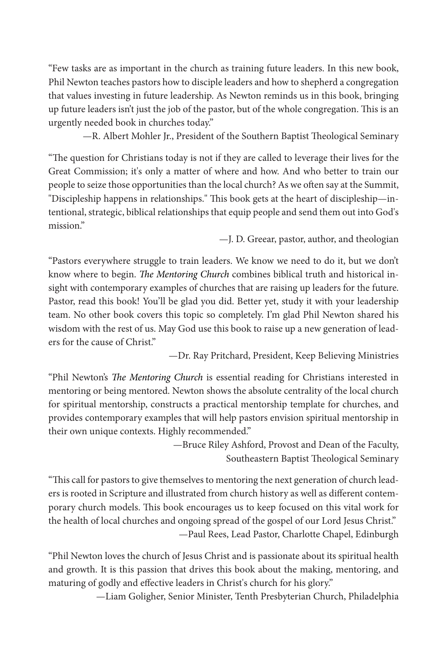"Few tasks are as important in the church as training future leaders. In this new book, Phil Newton teaches pastors how to disciple leaders and how to shepherd a congregation that values investing in future leadership. As Newton reminds us in this book, bringing up future leaders isn't just the job of the pastor, but of the whole congregation. This is an urgently needed book in churches today."

—R. Albert Mohler Jr., President of the Southern Baptist Theological Seminary

"The question for Christians today is not if they are called to leverage their lives for the Great Commission; it's only a matter of where and how. And who better to train our people to seize those opportunities than the local church? As we often say at the Summit, "Discipleship happens in relationships." This book gets at the heart of discipleship—intentional, strategic, biblical relationships that equip people and send them out into God's mission."

—J. D. Greear, pastor, author, and theologian

"Pastors everywhere struggle to train leaders. We know we need to do it, but we don't know where to begin. *The Mentoring Church* combines biblical truth and historical insight with contemporary examples of churches that are raising up leaders for the future. Pastor, read this book! You'll be glad you did. Better yet, study it with your leadership team. No other book covers this topic so completely. I'm glad Phil Newton shared his wisdom with the rest of us. May God use this book to raise up a new generation of leaders for the cause of Christ."

—Dr. Ray Pritchard, President, Keep Believing Ministries

"Phil Newton's *The Mentoring Church* is essential reading for Christians interested in mentoring or being mentored. Newton shows the absolute centrality of the local church for spiritual mentorship, constructs a practical mentorship template for churches, and provides contemporary examples that will help pastors envision spiritual mentorship in their own unique contexts. Highly recommended."

> —Bruce Riley Ashford, Provost and Dean of the Faculty, Southeastern Baptist Theological Seminary

"This call for pastors to give themselves to mentoring the next generation of church leaders is rooted in Scripture and illustrated from church history as well as different contemporary church models. This book encourages us to keep focused on this vital work for the health of local churches and ongoing spread of the gospel of our Lord Jesus Christ." —Paul Rees, Lead Pastor, Charlotte Chapel, Edinburgh

"Phil Newton loves the church of Jesus Christ and is passionate about its spiritual health and growth. It is this passion that drives this book about the making, mentoring, and maturing of godly and effective leaders in Christ's church for his glory."

—Liam Goligher, Senior Minister, Tenth Presbyterian Church, Philadelphia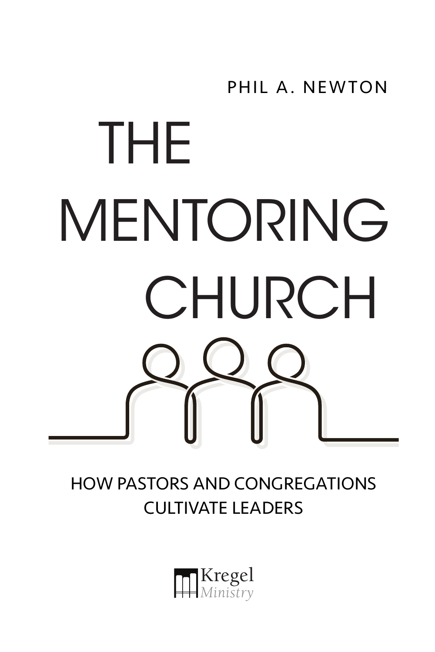PHIL A. NEWTON

# THE MENTORING CHURCH

HOW PASTORS AND CONGREGATIONS CULTIVATE LEADERS

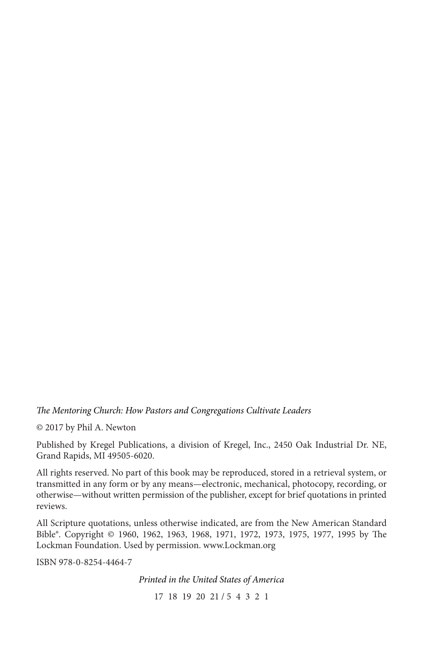*The Mentoring Church: How Pastors and Congregations Cultivate Leaders*

© 2017 by Phil A. Newton

Published by Kregel Publications, a division of Kregel, Inc., 2450 Oak Industrial Dr. NE, Grand Rapids, MI 49505-6020.

All rights reserved. No part of this book may be reproduced, stored in a retrieval system, or transmitted in any form or by any means—electronic, mechanical, photocopy, recording, or otherwise—without written permission of the publisher, except for brief quotations in printed reviews.

All Scripture quotations, unless otherwise indicated, are from the New American Standard Bible®. Copyright © 1960, 1962, 1963, 1968, 1971, 1972, 1973, 1975, 1977, 1995 by The Lockman Foundation. Used by permission. www.Lockman.org

ISBN 978-0-8254-4464-7

*Printed in the United States of America*

17 18 19 20 21 / 5 4 3 2 1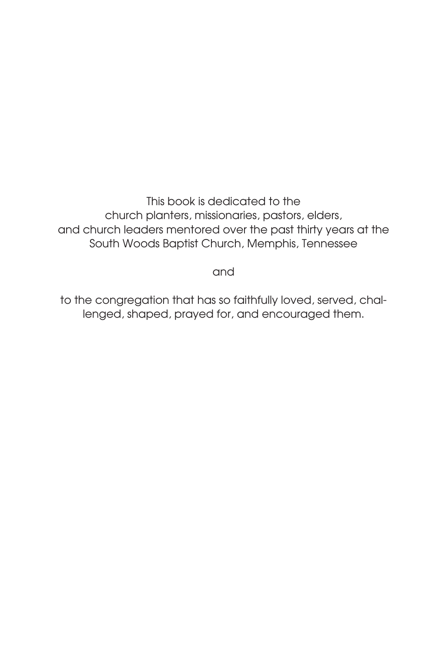This book is dedicated to the church planters, missionaries, pastors, elders, and church leaders mentored over the past thirty years at the South Woods Baptist Church, Memphis, Tennessee

and

to the congregation that has so faithfully loved, served, challenged, shaped, prayed for, and encouraged them.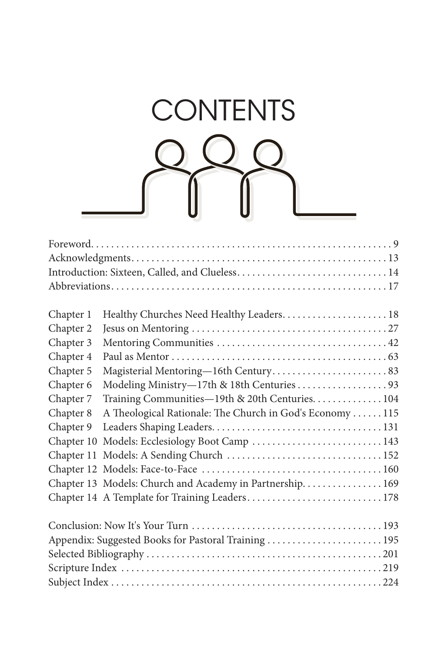

| Chapter 1                                            |                                                          |  |
|------------------------------------------------------|----------------------------------------------------------|--|
| Chapter 2                                            |                                                          |  |
| Chapter 3                                            |                                                          |  |
| Chapter 4                                            |                                                          |  |
| Chapter 5                                            |                                                          |  |
| Chapter 6                                            | Modeling Ministry-17th & 18th Centuries 93               |  |
| Chapter 7                                            | Training Communities-19th & 20th Centuries. 104          |  |
| Chapter 8                                            | A Theological Rationale: The Church in God's Economy 115 |  |
| Chapter 9                                            |                                                          |  |
|                                                      | Chapter 10 Models: Ecclesiology Boot Camp  143           |  |
|                                                      |                                                          |  |
|                                                      |                                                          |  |
|                                                      | Chapter 13 Models: Church and Academy in Partnership 169 |  |
|                                                      | Chapter 14 A Template for Training Leaders178            |  |
|                                                      |                                                          |  |
|                                                      |                                                          |  |
| Appendix: Suggested Books for Pastoral Training  195 |                                                          |  |
|                                                      |                                                          |  |
|                                                      |                                                          |  |
|                                                      |                                                          |  |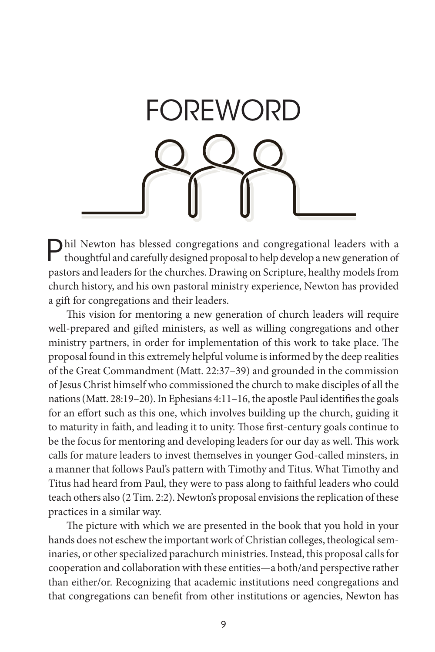

Phil Newton has blessed congregations and congregational leaders with a thoughtful and carefully designed proposal to help develop a new generation of pastors and leaders for the churches. Drawing on Scripture, healthy models from church history, and his own pastoral ministry experience, Newton has provided a gift for congregations and their leaders.

This vision for mentoring a new generation of church leaders will require well-prepared and gifted ministers, as well as willing congregations and other ministry partners, in order for implementation of this work to take place. The proposal found in this extremely helpful volume is informed by the deep realities of the Great Commandment (Matt. 22:37–39) and grounded in the commission of Jesus Christ himself who commissioned the church to make disciples of all the nations (Matt. 28:19–20). In Ephesians 4:11–16, the apostle Paul identifies the goals for an effort such as this one, which involves building up the church, guiding it to maturity in faith, and leading it to unity. Those first-century goals continue to be the focus for mentoring and developing leaders for our day as well. This work calls for mature leaders to invest themselves in younger God-called minsters, in a manner that follows Paul's pattern with Timothy and Titus. What Timothy and Titus had heard from Paul, they were to pass along to faithful leaders who could teach others also (2 Tim. 2:2). Newton's proposal envisions the replication of these practices in a similar way.

The picture with which we are presented in the book that you hold in your hands does not eschew the important work of Christian colleges, theological seminaries, or other specialized parachurch ministries. Instead, this proposal calls for cooperation and collaboration with these entities—a both/and perspective rather than either/or. Recognizing that academic institutions need congregations and that congregations can benefit from other institutions or agencies, Newton has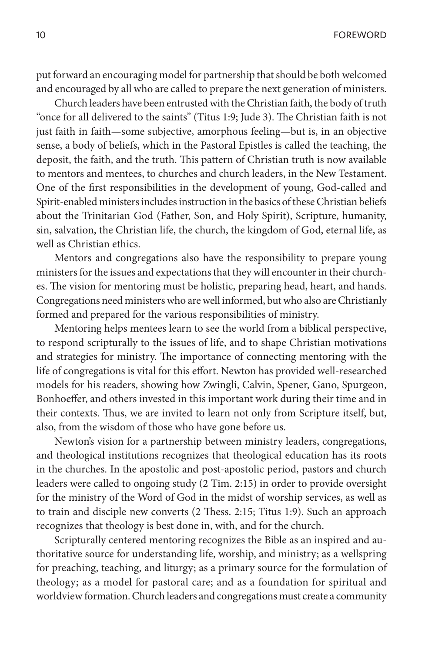put forward an encouraging model for partnership that should be both welcomed and encouraged by all who are called to prepare the next generation of ministers.

Church leaders have been entrusted with the Christian faith, the body of truth "once for all delivered to the saints" (Titus 1:9; Jude 3). The Christian faith is not just faith in faith—some subjective, amorphous feeling—but is, in an objective sense, a body of beliefs, which in the Pastoral Epistles is called the teaching, the deposit, the faith, and the truth. This pattern of Christian truth is now available to mentors and mentees, to churches and church leaders, in the New Testament. One of the first responsibilities in the development of young, God-called and Spirit-enabled ministers includes instruction in the basics of these Christian beliefs about the Trinitarian God (Father, Son, and Holy Spirit), Scripture, humanity, sin, salvation, the Christian life, the church, the kingdom of God, eternal life, as well as Christian ethics.

Mentors and congregations also have the responsibility to prepare young ministers for the issues and expectations that they will encounter in their churches. The vision for mentoring must be holistic, preparing head, heart, and hands. Congregations need ministers who are well informed, but who also are Christianly formed and prepared for the various responsibilities of ministry.

Mentoring helps mentees learn to see the world from a biblical perspective, to respond scripturally to the issues of life, and to shape Christian motivations and strategies for ministry. The importance of connecting mentoring with the life of congregations is vital for this effort. Newton has provided well-researched models for his readers, showing how Zwingli, Calvin, Spener, Gano, Spurgeon, Bonhoeffer, and others invested in this important work during their time and in their contexts. Thus, we are invited to learn not only from Scripture itself, but, also, from the wisdom of those who have gone before us.

Newton's vision for a partnership between ministry leaders, congregations, and theological institutions recognizes that theological education has its roots in the churches. In the apostolic and post-apostolic period, pastors and church leaders were called to ongoing study (2 Tim. 2:15) in order to provide oversight for the ministry of the Word of God in the midst of worship services, as well as to train and disciple new converts (2 Thess. 2:15; Titus 1:9). Such an approach recognizes that theology is best done in, with, and for the church.

Scripturally centered mentoring recognizes the Bible as an inspired and authoritative source for understanding life, worship, and ministry; as a wellspring for preaching, teaching, and liturgy; as a primary source for the formulation of theology; as a model for pastoral care; and as a foundation for spiritual and worldview formation. Church leaders and congregations must create a community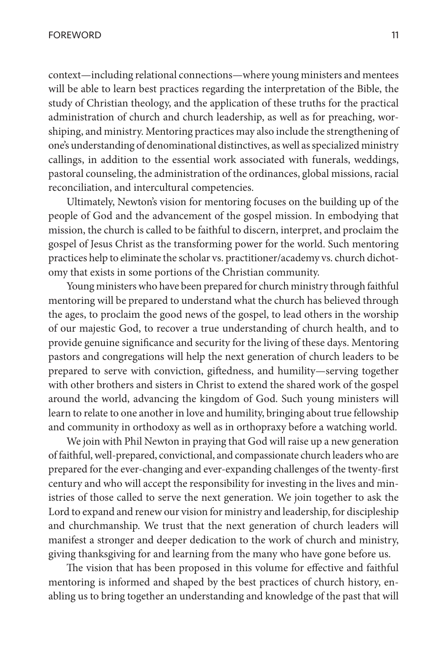context—including relational connections—where young ministers and mentees will be able to learn best practices regarding the interpretation of the Bible, the study of Christian theology, and the application of these truths for the practical administration of church and church leadership, as well as for preaching, worshiping, and ministry. Mentoring practices may also include the strengthening of one's understanding of denominational distinctives, as well as specialized ministry callings, in addition to the essential work associated with funerals, weddings, pastoral counseling, the administration of the ordinances, global missions, racial reconciliation, and intercultural competencies.

Ultimately, Newton's vision for mentoring focuses on the building up of the people of God and the advancement of the gospel mission. In embodying that mission, the church is called to be faithful to discern, interpret, and proclaim the gospel of Jesus Christ as the transforming power for the world. Such mentoring practices help to eliminate the scholar vs. practitioner/academy vs. church dichotomy that exists in some portions of the Christian community.

Young ministers who have been prepared for church ministry through faithful mentoring will be prepared to understand what the church has believed through the ages, to proclaim the good news of the gospel, to lead others in the worship of our majestic God, to recover a true understanding of church health, and to provide genuine significance and security for the living of these days. Mentoring pastors and congregations will help the next generation of church leaders to be prepared to serve with conviction, giftedness, and humility—serving together with other brothers and sisters in Christ to extend the shared work of the gospel around the world, advancing the kingdom of God. Such young ministers will learn to relate to one another in love and humility, bringing about true fellowship and community in orthodoxy as well as in orthopraxy before a watching world.

We join with Phil Newton in praying that God will raise up a new generation of faithful, well-prepared, convictional, and compassionate church leaders who are prepared for the ever-changing and ever-expanding challenges of the twenty-first century and who will accept the responsibility for investing in the lives and ministries of those called to serve the next generation. We join together to ask the Lord to expand and renew our vision for ministry and leadership, for discipleship and churchmanship. We trust that the next generation of church leaders will manifest a stronger and deeper dedication to the work of church and ministry, giving thanksgiving for and learning from the many who have gone before us.

The vision that has been proposed in this volume for effective and faithful mentoring is informed and shaped by the best practices of church history, enabling us to bring together an understanding and knowledge of the past that will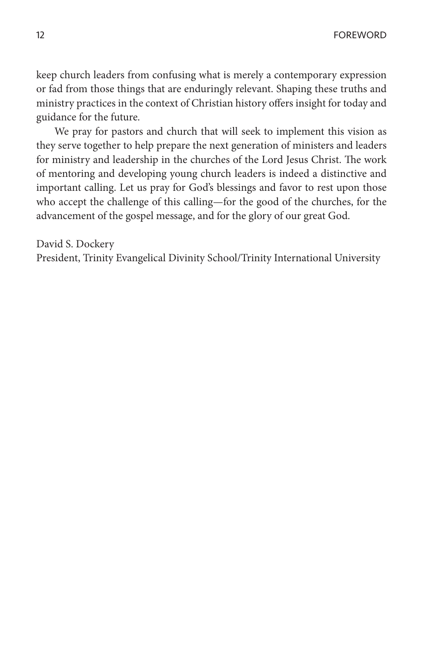keep church leaders from confusing what is merely a contemporary expression or fad from those things that are enduringly relevant. Shaping these truths and ministry practices in the context of Christian history offers insight for today and guidance for the future.

We pray for pastors and church that will seek to implement this vision as they serve together to help prepare the next generation of ministers and leaders for ministry and leadership in the churches of the Lord Jesus Christ. The work of mentoring and developing young church leaders is indeed a distinctive and important calling. Let us pray for God's blessings and favor to rest upon those who accept the challenge of this calling—for the good of the churches, for the advancement of the gospel message, and for the glory of our great God.

David S. Dockery

President, Trinity Evangelical Divinity School/Trinity International University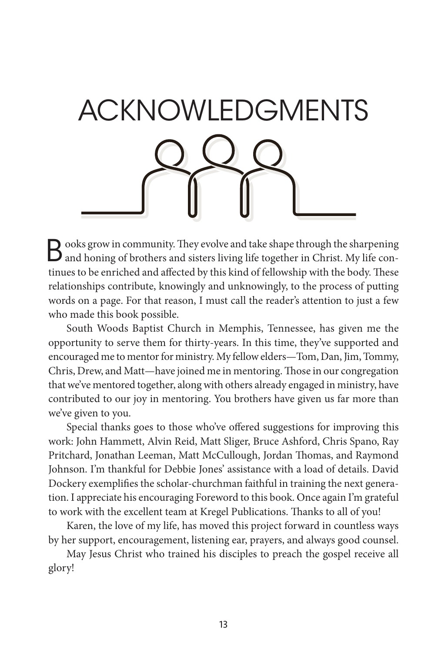

Books grow in community. They evolve and take shape through the sharpening and honing of brothers and sisters living life together in Christ. My life continues to be enriched and affected by this kind of fellowship with the body. These relationships contribute, knowingly and unknowingly, to the process of putting words on a page. For that reason, I must call the reader's attention to just a few who made this book possible.

South Woods Baptist Church in Memphis, Tennessee, has given me the opportunity to serve them for thirty-years. In this time, they've supported and encouraged me to mentor for ministry. My fellow elders—Tom, Dan, Jim, Tommy, Chris, Drew, and Matt—have joined me in mentoring. Those in our congregation that we've mentored together, along with others already engaged in ministry, have contributed to our joy in mentoring. You brothers have given us far more than we've given to you.

Special thanks goes to those who've offered suggestions for improving this work: John Hammett, Alvin Reid, Matt Sliger, Bruce Ashford, Chris Spano, Ray Pritchard, Jonathan Leeman, Matt McCullough, Jordan Thomas, and Raymond Johnson. I'm thankful for Debbie Jones' assistance with a load of details. David Dockery exemplifies the scholar-churchman faithful in training the next generation. I appreciate his encouraging Foreword to this book. Once again I'm grateful to work with the excellent team at Kregel Publications. Thanks to all of you!

Karen, the love of my life, has moved this project forward in countless ways by her support, encouragement, listening ear, prayers, and always good counsel.

May Jesus Christ who trained his disciples to preach the gospel receive all glory!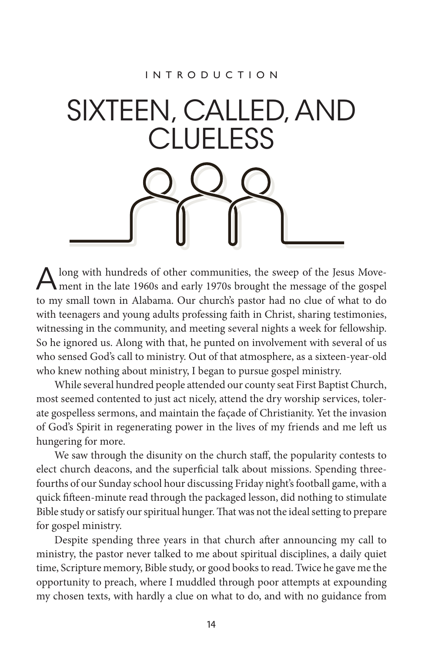### INTRODUCTION



Along with hundreds of other communities, the sweep of the Jesus Move-ment in the late 1960s and early 1970s brought the message of the gospel to my small town in Alabama. Our church's pastor had no clue of what to do with teenagers and young adults professing faith in Christ, sharing testimonies, witnessing in the community, and meeting several nights a week for fellowship. So he ignored us. Along with that, he punted on involvement with several of us who sensed God's call to ministry. Out of that atmosphere, as a sixteen-year-old who knew nothing about ministry, I began to pursue gospel ministry.

While several hundred people attended our county seat First Baptist Church, most seemed contented to just act nicely, attend the dry worship services, tolerate gospelless sermons, and maintain the façade of Christianity. Yet the invasion of God's Spirit in regenerating power in the lives of my friends and me left us hungering for more.

We saw through the disunity on the church staff, the popularity contests to elect church deacons, and the superficial talk about missions. Spending threefourths of our Sunday school hour discussing Friday night's football game, with a quick fifteen-minute read through the packaged lesson, did nothing to stimulate Bible study or satisfy our spiritual hunger. That was not the ideal setting to prepare for gospel ministry.

Despite spending three years in that church after announcing my call to ministry, the pastor never talked to me about spiritual disciplines, a daily quiet time, Scripture memory, Bible study, or good books to read. Twice he gave me the opportunity to preach, where I muddled through poor attempts at expounding my chosen texts, with hardly a clue on what to do, and with no guidance from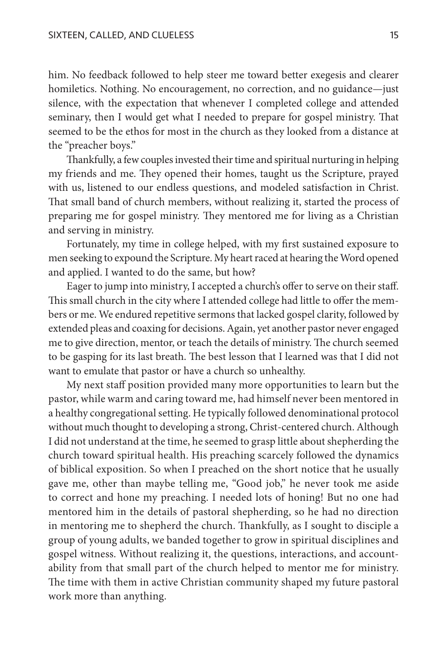him. No feedback followed to help steer me toward better exegesis and clearer homiletics. Nothing. No encouragement, no correction, and no guidance—just silence, with the expectation that whenever I completed college and attended seminary, then I would get what I needed to prepare for gospel ministry. That seemed to be the ethos for most in the church as they looked from a distance at the "preacher boys."

Thankfully, a few couples invested their time and spiritual nurturing in helping my friends and me. They opened their homes, taught us the Scripture, prayed with us, listened to our endless questions, and modeled satisfaction in Christ. That small band of church members, without realizing it, started the process of preparing me for gospel ministry. They mentored me for living as a Christian and serving in ministry.

Fortunately, my time in college helped, with my first sustained exposure to men seeking to expound the Scripture. My heart raced at hearing the Word opened and applied. I wanted to do the same, but how?

Eager to jump into ministry, I accepted a church's offer to serve on their staff. This small church in the city where I attended college had little to offer the members or me. We endured repetitive sermons that lacked gospel clarity, followed by extended pleas and coaxing for decisions. Again, yet another pastor never engaged me to give direction, mentor, or teach the details of ministry. The church seemed to be gasping for its last breath. The best lesson that I learned was that I did not want to emulate that pastor or have a church so unhealthy.

My next staff position provided many more opportunities to learn but the pastor, while warm and caring toward me, had himself never been mentored in a healthy congregational setting. He typically followed denominational protocol without much thought to developing a strong, Christ-centered church. Although I did not understand at the time, he seemed to grasp little about shepherding the church toward spiritual health. His preaching scarcely followed the dynamics of biblical exposition. So when I preached on the short notice that he usually gave me, other than maybe telling me, "Good job," he never took me aside to correct and hone my preaching. I needed lots of honing! But no one had mentored him in the details of pastoral shepherding, so he had no direction in mentoring me to shepherd the church. Thankfully, as I sought to disciple a group of young adults, we banded together to grow in spiritual disciplines and gospel witness. Without realizing it, the questions, interactions, and accountability from that small part of the church helped to mentor me for ministry. The time with them in active Christian community shaped my future pastoral work more than anything.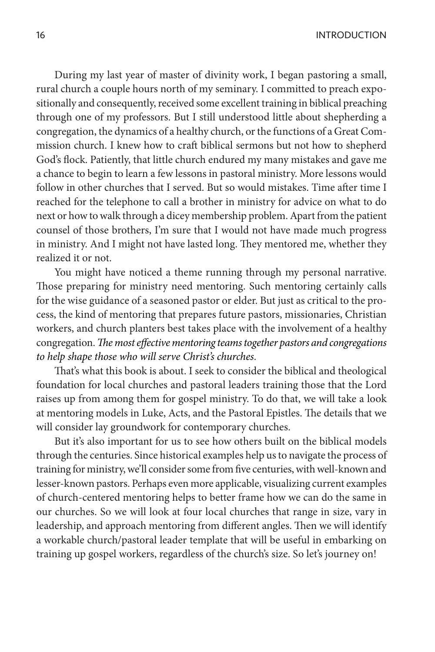16 INTRODUCTION

During my last year of master of divinity work, I began pastoring a small, rural church a couple hours north of my seminary. I committed to preach expositionally and consequently, received some excellent training in biblical preaching through one of my professors. But I still understood little about shepherding a congregation, the dynamics of a healthy church, or the functions of a Great Commission church. I knew how to craft biblical sermons but not how to shepherd God's flock. Patiently, that little church endured my many mistakes and gave me a chance to begin to learn a few lessons in pastoral ministry. More lessons would follow in other churches that I served. But so would mistakes. Time after time I reached for the telephone to call a brother in ministry for advice on what to do next or how to walk through a dicey membership problem. Apart from the patient counsel of those brothers, I'm sure that I would not have made much progress in ministry. And I might not have lasted long. They mentored me, whether they realized it or not.

You might have noticed a theme running through my personal narrative. Those preparing for ministry need mentoring. Such mentoring certainly calls for the wise guidance of a seasoned pastor or elder. But just as critical to the process, the kind of mentoring that prepares future pastors, missionaries, Christian workers, and church planters best takes place with the involvement of a healthy congregation. *The most effective mentoring teams together pastors and congregations to help shape those who will serve Christ's churches*.

That's what this book is about. I seek to consider the biblical and theological foundation for local churches and pastoral leaders training those that the Lord raises up from among them for gospel ministry. To do that, we will take a look at mentoring models in Luke, Acts, and the Pastoral Epistles. The details that we will consider lay groundwork for contemporary churches.

But it's also important for us to see how others built on the biblical models through the centuries. Since historical examples help us to navigate the process of training for ministry, we'll consider some from five centuries, with well-known and lesser-known pastors. Perhaps even more applicable, visualizing current examples of church-centered mentoring helps to better frame how we can do the same in our churches. So we will look at four local churches that range in size, vary in leadership, and approach mentoring from different angles. Then we will identify a workable church/pastoral leader template that will be useful in embarking on training up gospel workers, regardless of the church's size. So let's journey on!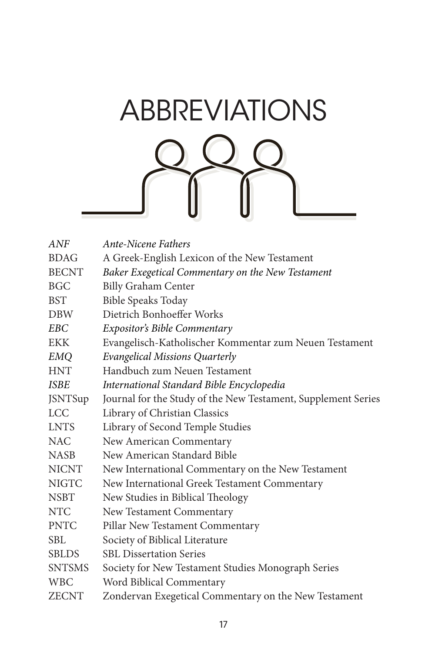### ABBREVIATIONS  $\sqrt{2}$

| ANF            | <b>Ante-Nicene Fathers</b>                                    |
|----------------|---------------------------------------------------------------|
| <b>BDAG</b>    | A Greek-English Lexicon of the New Testament                  |
| <b>BECNT</b>   | Baker Exegetical Commentary on the New Testament              |
| <b>BGC</b>     | <b>Billy Graham Center</b>                                    |
| <b>BST</b>     | <b>Bible Speaks Today</b>                                     |
| <b>DBW</b>     | Dietrich Bonhoeffer Works                                     |
| EBC            | <b>Expositor's Bible Commentary</b>                           |
| <b>EKK</b>     | Evangelisch-Katholischer Kommentar zum Neuen Testament        |
| <b>EMQ</b>     | <b>Evangelical Missions Quarterly</b>                         |
| <b>HNT</b>     | Handbuch zum Neuen Testament                                  |
| <b>ISBE</b>    | International Standard Bible Encyclopedia                     |
| <b>JSNTSup</b> | Journal for the Study of the New Testament, Supplement Series |
| <b>LCC</b>     | Library of Christian Classics                                 |
| LNTS           | Library of Second Temple Studies                              |
| <b>NAC</b>     | New American Commentary                                       |
| <b>NASB</b>    | New American Standard Bible                                   |
| <b>NICNT</b>   | New International Commentary on the New Testament             |
| <b>NIGTC</b>   | New International Greek Testament Commentary                  |
| <b>NSBT</b>    | New Studies in Biblical Theology                              |
| <b>NTC</b>     | New Testament Commentary                                      |
| <b>PNTC</b>    | Pillar New Testament Commentary                               |
| <b>SBL</b>     | Society of Biblical Literature                                |
| <b>SBLDS</b>   | <b>SBL Dissertation Series</b>                                |
| <b>SNTSMS</b>  | Society for New Testament Studies Monograph Series            |
| <b>WBC</b>     | Word Biblical Commentary                                      |
| <b>ZECNT</b>   | Zondervan Exegetical Commentary on the New Testament          |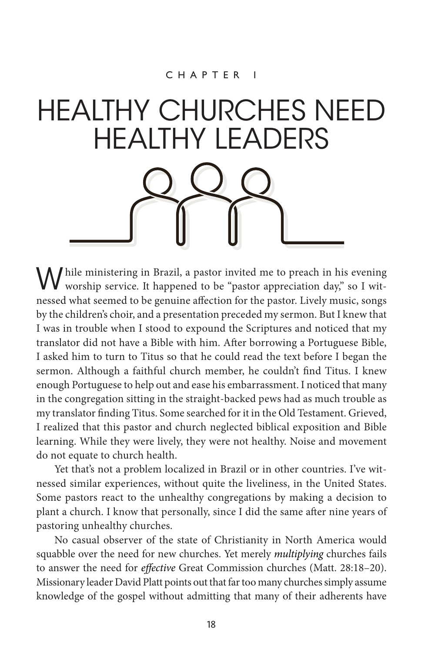### CHAPTER 1

## HEALTHY CHURCHES NEED HEALTHY LEADERS

 $\bigwedge$  hile ministering in Brazil, a pastor invited me to preach in his evening worship service. It happened to be "pastor appreciation day," so I witnessed what seemed to be genuine affection for the pastor. Lively music, songs by the children's choir, and a presentation preceded my sermon. But I knew that I was in trouble when I stood to expound the Scriptures and noticed that my translator did not have a Bible with him. After borrowing a Portuguese Bible, I asked him to turn to Titus so that he could read the text before I began the sermon. Although a faithful church member, he couldn't find Titus. I knew enough Portuguese to help out and ease his embarrassment. I noticed that many in the congregation sitting in the straight-backed pews had as much trouble as my translator finding Titus. Some searched for it in the Old Testament. Grieved, I realized that this pastor and church neglected biblical exposition and Bible learning. While they were lively, they were not healthy. Noise and movement do not equate to church health.

Yet that's not a problem localized in Brazil or in other countries. I've witnessed similar experiences, without quite the liveliness, in the United States. Some pastors react to the unhealthy congregations by making a decision to plant a church. I know that personally, since I did the same after nine years of pastoring unhealthy churches.

No casual observer of the state of Christianity in North America would squabble over the need for new churches. Yet merely *multiplying* churches fails to answer the need for *effective* Great Commission churches (Matt. 28:18–20). Missionary leader David Platt points out that far too many churches simply assume knowledge of the gospel without admitting that many of their adherents have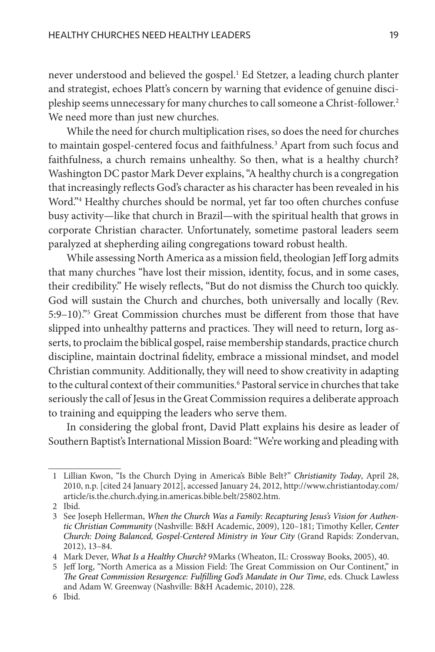never understood and believed the gospel.<sup>1</sup> Ed Stetzer, a leading church planter and strategist, echoes Platt's concern by warning that evidence of genuine discipleship seems unnecessary for many churches to call someone a Christ-follower.<sup>2</sup> We need more than just new churches.

While the need for church multiplication rises, so does the need for churches to maintain gospel-centered focus and faithfulness.<sup>3</sup> Apart from such focus and faithfulness, a church remains unhealthy. So then, what is a healthy church? Washington DC pastor Mark Dever explains, "A healthy church is a congregation that increasingly reflects God's character as his character has been revealed in his Word."4 Healthy churches should be normal, yet far too often churches confuse busy activity—like that church in Brazil—with the spiritual health that grows in corporate Christian character. Unfortunately, sometime pastoral leaders seem paralyzed at shepherding ailing congregations toward robust health.

While assessing North America as a mission field, theologian Jeff Iorg admits that many churches "have lost their mission, identity, focus, and in some cases, their credibility." He wisely reflects, "But do not dismiss the Church too quickly. God will sustain the Church and churches, both universally and locally (Rev. 5:9–10)."5 Great Commission churches must be different from those that have slipped into unhealthy patterns and practices. They will need to return, Iorg asserts, to proclaim the biblical gospel, raise membership standards, practice church discipline, maintain doctrinal fidelity, embrace a missional mindset, and model Christian community. Additionally, they will need to show creativity in adapting to the cultural context of their communities.<sup>6</sup> Pastoral service in churches that take seriously the call of Jesus in the Great Commission requires a deliberate approach to training and equipping the leaders who serve them.

In considering the global front, David Platt explains his desire as leader of Southern Baptist's International Mission Board: "We're working and pleading with

<sup>1</sup> Lillian Kwon, "Is the Church Dying in America's Bible Belt?" *Christianity Today*, April 28, 2010, n.p. [cited 24 January 2012], accessed January 24, 2012, http://www.christiantoday.com/ article/is.the.church.dying.in.americas.bible.belt/25802.htm.

<sup>2</sup> Ibid.

<sup>3</sup> See Joseph Hellerman, *When the Church Was a Family: Recapturing Jesus's Vision for Authentic Christian Community* (Nashville: B&H Academic, 2009), 120–181; Timothy Keller, *Center Church: Doing Balanced, Gospel-Centered Ministry in Your City* (Grand Rapids: Zondervan, 2012), 13–84.

<sup>4</sup> Mark Dever, *What Is a Healthy Church?* 9Marks (Wheaton, IL: Crossway Books, 2005), 40.

<sup>5</sup> Jeff Iorg, "North America as a Mission Field: The Great Commission on Our Continent," in *The Great Commission Resurgence: Fulfilling God's Mandate in Our Time*, eds. Chuck Lawless and Adam W. Greenway (Nashville: B&H Academic, 2010), 228.

<sup>6</sup> Ibid.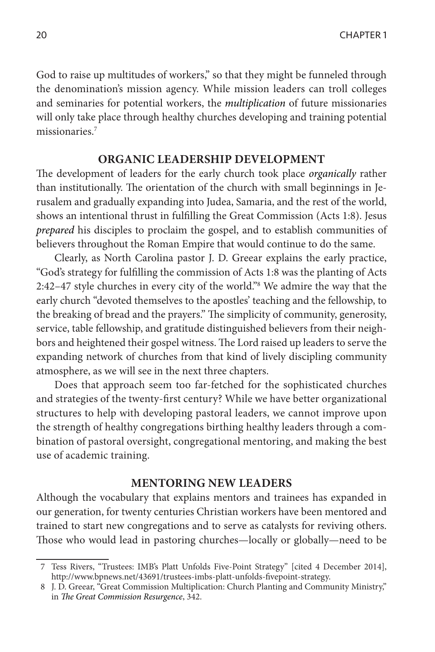God to raise up multitudes of workers," so that they might be funneled through the denomination's mission agency. While mission leaders can troll colleges and seminaries for potential workers, the *multiplication* of future missionaries will only take place through healthy churches developing and training potential missionaries.7

### **ORGANIC LEADERSHIP DEVELOPMENT**

The development of leaders for the early church took place *organically* rather than institutionally. The orientation of the church with small beginnings in Jerusalem and gradually expanding into Judea, Samaria, and the rest of the world, shows an intentional thrust in fulfilling the Great Commission (Acts 1:8). Jesus *prepared* his disciples to proclaim the gospel, and to establish communities of believers throughout the Roman Empire that would continue to do the same.

Clearly, as North Carolina pastor J. D. Greear explains the early practice, "God's strategy for fulfilling the commission of Acts 1:8 was the planting of Acts 2:42–47 style churches in every city of the world."8 We admire the way that the early church "devoted themselves to the apostles' teaching and the fellowship, to the breaking of bread and the prayers." The simplicity of community, generosity, service, table fellowship, and gratitude distinguished believers from their neighbors and heightened their gospel witness. The Lord raised up leaders to serve the expanding network of churches from that kind of lively discipling community atmosphere, as we will see in the next three chapters.

Does that approach seem too far-fetched for the sophisticated churches and strategies of the twenty-first century? While we have better organizational structures to help with developing pastoral leaders, we cannot improve upon the strength of healthy congregations birthing healthy leaders through a combination of pastoral oversight, congregational mentoring, and making the best use of academic training.

### **MENTORING NEW LEADERS**

Although the vocabulary that explains mentors and trainees has expanded in our generation, for twenty centuries Christian workers have been mentored and trained to start new congregations and to serve as catalysts for reviving others. Those who would lead in pastoring churches—locally or globally—need to be

<sup>7</sup> Tess Rivers, "Trustees: IMB's Platt Unfolds Five-Point Strategy" [cited 4 December 2014], http://www.bpnews.net/43691/trustees-imbs-platt-unfolds-fivepoint-strategy.

<sup>8</sup> J. D. Greear, "Great Commission Multiplication: Church Planting and Community Ministry," in *The Great Commission Resurgence*, 342.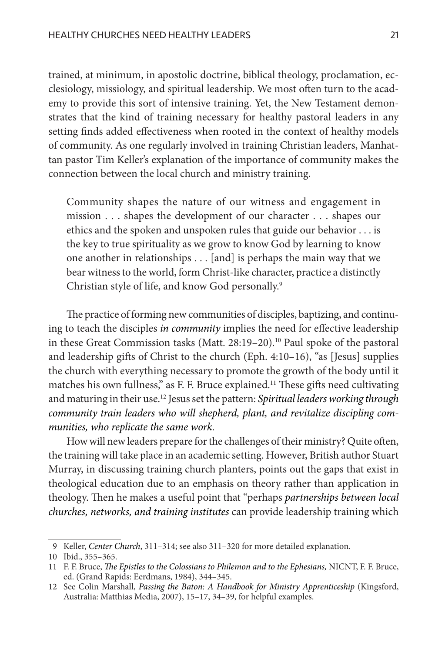trained, at minimum, in apostolic doctrine, biblical theology, proclamation, ecclesiology, missiology, and spiritual leadership. We most often turn to the academy to provide this sort of intensive training. Yet, the New Testament demonstrates that the kind of training necessary for healthy pastoral leaders in any setting finds added effectiveness when rooted in the context of healthy models of community. As one regularly involved in training Christian leaders, Manhattan pastor Tim Keller's explanation of the importance of community makes the connection between the local church and ministry training.

Community shapes the nature of our witness and engagement in mission . . . shapes the development of our character . . . shapes our ethics and the spoken and unspoken rules that guide our behavior . . . is the key to true spirituality as we grow to know God by learning to know one another in relationships . . . [and] is perhaps the main way that we bear witness to the world, form Christ-like character, practice a distinctly Christian style of life, and know God personally.9

The practice of forming new communities of disciples, baptizing, and continuing to teach the disciples *in community* implies the need for effective leadership in these Great Commission tasks (Matt. 28:19–20).10 Paul spoke of the pastoral and leadership gifts of Christ to the church (Eph. 4:10–16), "as [Jesus] supplies the church with everything necessary to promote the growth of the body until it matches his own fullness," as F. F. Bruce explained.11 These gifts need cultivating and maturing in their use.12 Jesus set the pattern: *Spiritual leaders working through community train leaders who will shepherd, plant, and revitalize discipling communities, who replicate the same work*.

How will new leaders prepare for the challenges of their ministry? Quite often, the training will take place in an academic setting. However, British author Stuart Murray, in discussing training church planters, points out the gaps that exist in theological education due to an emphasis on theory rather than application in theology. Then he makes a useful point that "perhaps *partnerships between local churches, networks, and training institutes* can provide leadership training which

<sup>9</sup> Keller, *Center Church*, 311–314; see also 311–320 for more detailed explanation.

<sup>10</sup> Ibid., 355–365.

<sup>11</sup> F. F. Bruce, *The Epistles to the Colossians to Philemon and to the Ephesians,* NICNT, F. F. Bruce, ed. (Grand Rapids: Eerdmans, 1984), 344–345.

<sup>12</sup> See Colin Marshall, *Passing the Baton: A Handbook for Ministry Apprenticeship* (Kingsford, Australia: Matthias Media, 2007), 15–17, 34–39, for helpful examples.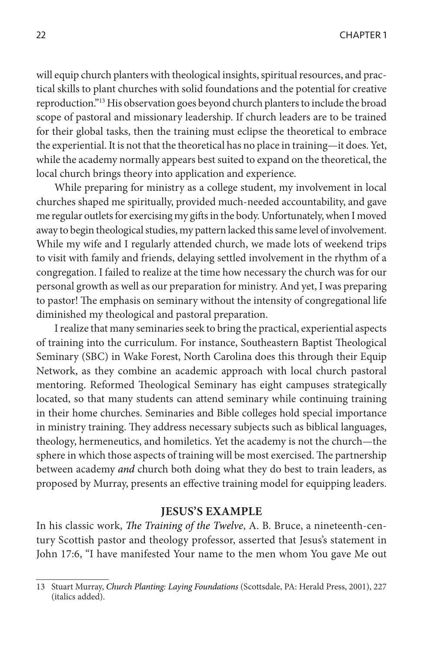will equip church planters with theological insights, spiritual resources, and practical skills to plant churches with solid foundations and the potential for creative reproduction."13 His observation goes beyond church planters to include the broad scope of pastoral and missionary leadership. If church leaders are to be trained for their global tasks, then the training must eclipse the theoretical to embrace the experiential. It is not that the theoretical has no place in training—it does. Yet, while the academy normally appears best suited to expand on the theoretical, the local church brings theory into application and experience.

While preparing for ministry as a college student, my involvement in local churches shaped me spiritually, provided much-needed accountability, and gave me regular outlets for exercising my gifts in the body. Unfortunately, when I moved away to begin theological studies, my pattern lacked this same level of involvement. While my wife and I regularly attended church, we made lots of weekend trips to visit with family and friends, delaying settled involvement in the rhythm of a congregation. I failed to realize at the time how necessary the church was for our personal growth as well as our preparation for ministry. And yet, I was preparing to pastor! The emphasis on seminary without the intensity of congregational life diminished my theological and pastoral preparation.

I realize that many seminaries seek to bring the practical, experiential aspects of training into the curriculum. For instance, Southeastern Baptist Theological Seminary (SBC) in Wake Forest, North Carolina does this through their Equip Network, as they combine an academic approach with local church pastoral mentoring. Reformed Theological Seminary has eight campuses strategically located, so that many students can attend seminary while continuing training in their home churches. Seminaries and Bible colleges hold special importance in ministry training. They address necessary subjects such as biblical languages, theology, hermeneutics, and homiletics. Yet the academy is not the church—the sphere in which those aspects of training will be most exercised. The partnership between academy *and* church both doing what they do best to train leaders, as proposed by Murray, presents an effective training model for equipping leaders.

### **JESUS'S EXAMPLE**

In his classic work, *The Training of the Twelve*, A. B. Bruce, a nineteenth-century Scottish pastor and theology professor, asserted that Jesus's statement in John 17:6, "I have manifested Your name to the men whom You gave Me out

<sup>13</sup> Stuart Murray, *Church Planting: Laying Foundations* (Scottsdale, PA: Herald Press, 2001), 227 (italics added).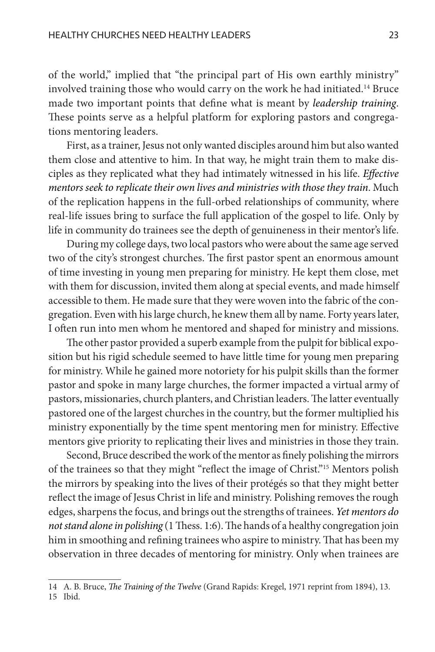of the world," implied that "the principal part of His own earthly ministry" involved training those who would carry on the work he had initiated.<sup>14</sup> Bruce made two important points that define what is meant by *leadership training*. These points serve as a helpful platform for exploring pastors and congregations mentoring leaders.

First, as a trainer, Jesus not only wanted disciples around him but also wanted them close and attentive to him. In that way, he might train them to make disciples as they replicated what they had intimately witnessed in his life. *Effective mentors seek to replicate their own lives and ministries with those they train*. Much of the replication happens in the full-orbed relationships of community, where real-life issues bring to surface the full application of the gospel to life. Only by life in community do trainees see the depth of genuineness in their mentor's life.

During my college days, two local pastors who were about the same age served two of the city's strongest churches. The first pastor spent an enormous amount of time investing in young men preparing for ministry. He kept them close, met with them for discussion, invited them along at special events, and made himself accessible to them. He made sure that they were woven into the fabric of the congregation. Even with his large church, he knew them all by name. Forty years later, I often run into men whom he mentored and shaped for ministry and missions.

The other pastor provided a superb example from the pulpit for biblical exposition but his rigid schedule seemed to have little time for young men preparing for ministry. While he gained more notoriety for his pulpit skills than the former pastor and spoke in many large churches, the former impacted a virtual army of pastors, missionaries, church planters, and Christian leaders. The latter eventually pastored one of the largest churches in the country, but the former multiplied his ministry exponentially by the time spent mentoring men for ministry. Effective mentors give priority to replicating their lives and ministries in those they train.

Second, Bruce described the work of the mentor as finely polishing the mirrors of the trainees so that they might "reflect the image of Christ."15 Mentors polish the mirrors by speaking into the lives of their protégés so that they might better reflect the image of Jesus Christ in life and ministry. Polishing removes the rough edges, sharpens the focus, and brings out the strengths of trainees. *Yet mentors do not stand alone in polishing* (1 Thess. 1:6). The hands of a healthy congregation join him in smoothing and refining trainees who aspire to ministry. That has been my observation in three decades of mentoring for ministry. Only when trainees are

<sup>14</sup> A. B. Bruce, *The Training of the Twelve* (Grand Rapids: Kregel, 1971 reprint from 1894), 13. 15 Ibid.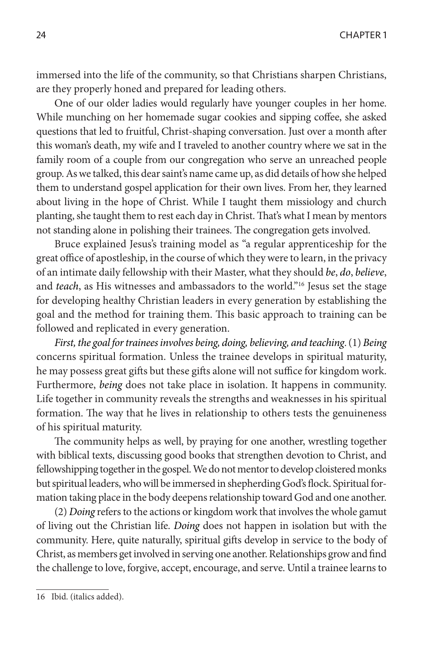immersed into the life of the community, so that Christians sharpen Christians, are they properly honed and prepared for leading others.

One of our older ladies would regularly have younger couples in her home. While munching on her homemade sugar cookies and sipping coffee, she asked questions that led to fruitful, Christ-shaping conversation. Just over a month after this woman's death, my wife and I traveled to another country where we sat in the family room of a couple from our congregation who serve an unreached people group. As we talked, this dear saint's name came up, as did details of how she helped them to understand gospel application for their own lives. From her, they learned about living in the hope of Christ. While I taught them missiology and church planting, she taught them to rest each day in Christ. That's what I mean by mentors not standing alone in polishing their trainees. The congregation gets involved.

Bruce explained Jesus's training model as "a regular apprenticeship for the great office of apostleship, in the course of which they were to learn, in the privacy of an intimate daily fellowship with their Master, what they should *be*, *do*, *believe*, and *teach*, as His witnesses and ambassadors to the world."16 Jesus set the stage for developing healthy Christian leaders in every generation by establishing the goal and the method for training them. This basic approach to training can be followed and replicated in every generation.

*First, the goal for trainees involves being, doing, believing, and teaching*. (1) *Being* concerns spiritual formation. Unless the trainee develops in spiritual maturity, he may possess great gifts but these gifts alone will not suffice for kingdom work. Furthermore, *being* does not take place in isolation. It happens in community. Life together in community reveals the strengths and weaknesses in his spiritual formation. The way that he lives in relationship to others tests the genuineness of his spiritual maturity.

The community helps as well, by praying for one another, wrestling together with biblical texts, discussing good books that strengthen devotion to Christ, and fellowshipping together in the gospel. We do not mentor to develop cloistered monks but spiritual leaders, who will be immersed in shepherding God's flock. Spiritual formation taking place in the body deepens relationship toward God and one another.

(2) *Doing* refers to the actions or kingdom work that involves the whole gamut of living out the Christian life. *Doing* does not happen in isolation but with the community. Here, quite naturally, spiritual gifts develop in service to the body of Christ, as members get involved in serving one another. Relationships grow and find the challenge to love, forgive, accept, encourage, and serve. Until a trainee learns to

<sup>16</sup> Ibid. (italics added).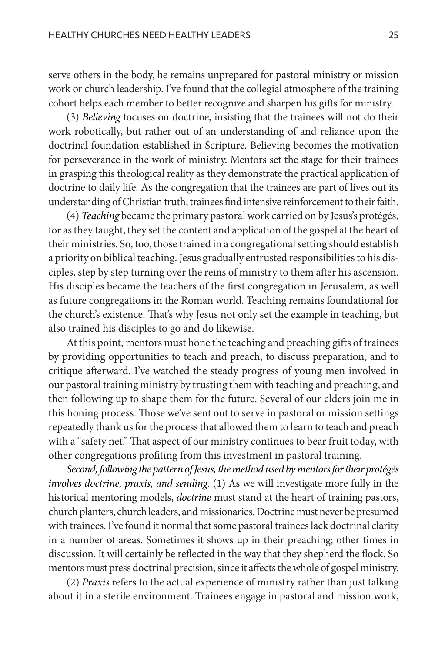serve others in the body, he remains unprepared for pastoral ministry or mission work or church leadership. I've found that the collegial atmosphere of the training cohort helps each member to better recognize and sharpen his gifts for ministry.

(3) *Believing* focuses on doctrine, insisting that the trainees will not do their work robotically, but rather out of an understanding of and reliance upon the doctrinal foundation established in Scripture. Believing becomes the motivation for perseverance in the work of ministry. Mentors set the stage for their trainees in grasping this theological reality as they demonstrate the practical application of doctrine to daily life. As the congregation that the trainees are part of lives out its understanding of Christian truth, trainees find intensive reinforcement to their faith.

(4) *Teaching* became the primary pastoral work carried on by Jesus's protégés, for as they taught, they set the content and application of the gospel at the heart of their ministries. So, too, those trained in a congregational setting should establish a priority on biblical teaching. Jesus gradually entrusted responsibilities to his disciples, step by step turning over the reins of ministry to them after his ascension. His disciples became the teachers of the first congregation in Jerusalem, as well as future congregations in the Roman world. Teaching remains foundational for the church's existence. That's why Jesus not only set the example in teaching, but also trained his disciples to go and do likewise.

At this point, mentors must hone the teaching and preaching gifts of trainees by providing opportunities to teach and preach, to discuss preparation, and to critique afterward. I've watched the steady progress of young men involved in our pastoral training ministry by trusting them with teaching and preaching, and then following up to shape them for the future. Several of our elders join me in this honing process. Those we've sent out to serve in pastoral or mission settings repeatedly thank us for the process that allowed them to learn to teach and preach with a "safety net." That aspect of our ministry continues to bear fruit today, with other congregations profiting from this investment in pastoral training.

*Second, following the pattern of Jesus, the method used by mentors for their protégés involves doctrine, praxis, and sending*. (1) As we will investigate more fully in the historical mentoring models, *doctrine* must stand at the heart of training pastors, church planters, church leaders, and missionaries. Doctrine must never be presumed with trainees. I've found it normal that some pastoral trainees lack doctrinal clarity in a number of areas. Sometimes it shows up in their preaching; other times in discussion. It will certainly be reflected in the way that they shepherd the flock. So mentors must press doctrinal precision, since it affects the whole of gospel ministry.

(2) *Praxis* refers to the actual experience of ministry rather than just talking about it in a sterile environment. Trainees engage in pastoral and mission work,